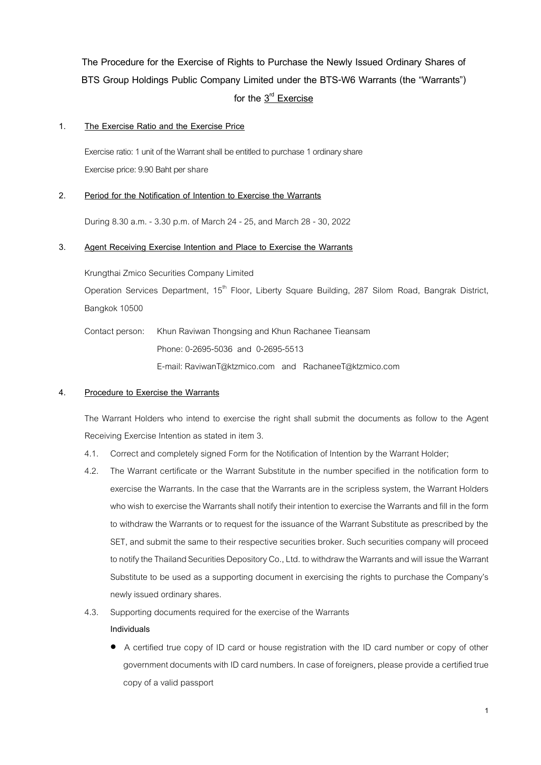**The Procedure for the Exercise of Rights to Purchase the Newly Issued Ordinary Shares of BTS Group Holdings Public Company Limited under the BTS-W6 Warrants (the "Warrants")** for the  $3^{\text{rd}}$  Exercise

# **1. The Exercise Ratio and the Exercise Price**

Exercise ratio: 1 unit of the Warrant shall be entitled to purchase 1 ordinaryshare Exercise price: 9.90 Baht per share

# **2. Period for the Notification of Intention to Exercise the Warrants**

During 8.30 a.m. - 3.30 p.m. of March 24 - 25, and March 28 - 30, 2022

# **3. Agent Receiving Exercise Intention and Place to Exercise the Warrants**

Krungthai Zmico Securities Company Limited

Operation Services Department, 15<sup>th</sup> Floor, Liberty Square Building, 287 Silom Road, Bangrak District, Bangkok 10500

Contact person: Khun Raviwan Thongsing and Khun Rachanee Tieansam Phone: 0-2695-5036 and 0-2695-5513 E-mail: RaviwanT@ktzmico.com and RachaneeT@ktzmico.com

#### **4. Procedure to Exercise the Warrants**

The Warrant Holders who intend to exercise the right shall submit the documents as follow to the Agent Receiving Exercise Intention as stated in item 3.

- 4.1. Correctand completely signed Form for the Notification of Intention by the Warrant Holder;
- 4.2. The Warrant certificate or the Warrant Substitute in the number specified in the notification form to exercise the Warrants. In the case that the Warrants are in the scripless system, the Warrant Holders who wish to exercise the Warrants shall notify their intention to exercise the Warrants and fill in the form to withdraw the Warrants or to request for the issuance of the Warrant Substitute as prescribed by the SET, and submit the same to their respective securities broker. Such securities company will proceed to notify the Thailand Securities Depository Co., Ltd. to withdraw the Warrants and will issue the Warrant Substitute to be used as a supporting document in exercising the rights to purchase the Company's newly issued ordinary shares.
- 4.3. Supporting documents required for the exercise of the Warrants **Individuals** 
	- A certified true copy of ID card or house registration with the ID card number or copy of other government documents with ID card numbers. In case of foreigners, please providea certified true copy of a valid passport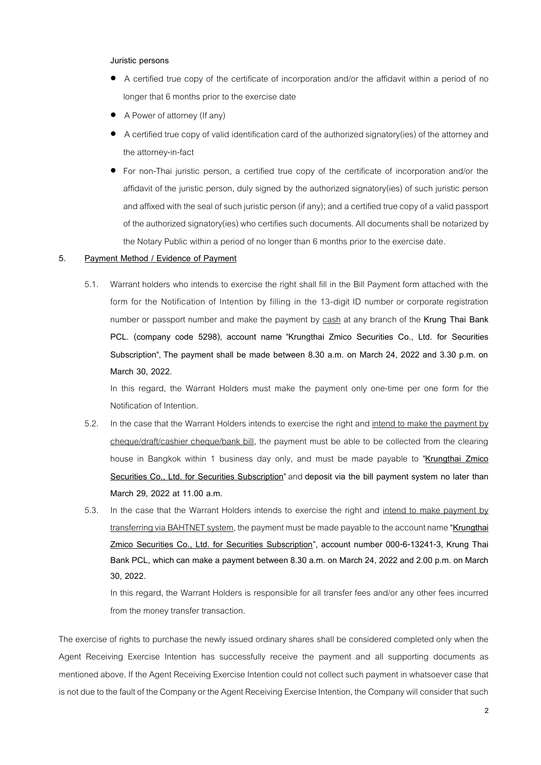#### **Juristic persons**

- A certified true copy of the certificate of incorporation and/or the affidavit within a period of no longer that 6 months prior to the exercise date
- A Power of attorney (If any)
- A certified true copy of valid identification card of the authorized signatory(ies) of the attorney and the attorney-in-fact
- For non-Thai juristic person, a certified true copy of the certificate of incorporation and/or the affidavit of the juristic person, duly signed by the authorized signatory(ies) of such juristic person and affixed with the seal of such juristic person (if any); and a certified true copy of a valid passport of the authorized signatory(ies) who certifies such documents. All documents shall be notarized by the Notary Public within a period of no longer than 6 months prior to the exercise date.

### **5. Payment Method / Evidence of Payment**

5.1. Warrant holders who intends to exercise the right shall fill in the Bill Payment form attached with the form for the Notification of Intention by filling in the 13-digit ID number or corporate registration number or passport number and make the payment by cash at any branch of the **Krung Thai Bank PCL. (company code 5298), account name** "**Krungthai Zmico Securities Co., Ltd. for Securities Subscription**", **The payment shall be made between 8.30 a.m. on March 24, 2022 and 3.30 p.m. on March 30, 2022.**

In this regard, the Warrant Holders must make the payment only one-time per one form for the Notification of Intention.

- 5.2. In the case that the Warrant Holders intends to exercise the right and intend to make the payment by cheque/draft/cashier cheque/bank bill, the payment must be able to be collected from the clearing house in Bangkok within 1 business day only, and must be made payable to "**Krungthai Zmico Securities Co., Ltd. for Securities Subscription**" and **deposit via the bill payment system no later than March 29, 2022 at 11.00 a.m.**
- 5.3. In the case that the Warrant Holders intends to exercise the right and intend to make payment by transferring via BAHTNET system, the payment must be made payableto the account name **"Krungthai Zmico Securities Co., Ltd. for Securities Subscription", account number 000-6-13241-3, Krung Thai Bank PCL, which can make a payment between 8.30 a.m. on March 24, 2022 and 2.00 p.m. on March 30, 2022.**

In this regard, the Warrant Holders is responsible for all transfer fees and/or any other fees incurred from the money transfer transaction.

The exercise of rights to purchase the newly issued ordinary shares shall be considered completed only when the Agent Receiving Exercise Intention has successfully receive the payment and all supporting documents as mentioned above. If the Agent Receiving Exercise Intention could not collect such payment in whatsoever case that is not due to the fault of the Company or the Agent Receiving Exercise Intention, the Company will consider that such